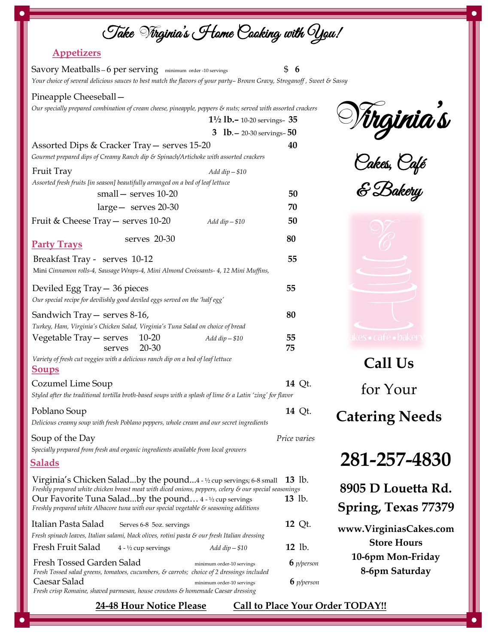## Take **V**irginia's Home Cooking with You!

## **Appetizers**

| Savory Meatballs - 6 per serving minimum order -10 servings<br>Your choice of several delicious sauces to best match the flavors of your party-Brown Gravy, Stroganoff, Sweet & Sassy |                                               | \$<br>6      |
|---------------------------------------------------------------------------------------------------------------------------------------------------------------------------------------|-----------------------------------------------|--------------|
| Pineapple Cheeseball -                                                                                                                                                                |                                               |              |
| Our specially prepared combination of cream cheese, pineapple, peppers & nuts; served with assorted crackers                                                                          |                                               |              |
|                                                                                                                                                                                       | $1\frac{1}{2}$ <b>lb.</b> -10-20 servings- 35 |              |
|                                                                                                                                                                                       | 3 $1b - 20 - 30$ servings- $50$               |              |
| Assorted Dips & Cracker Tray - serves 15-20                                                                                                                                           |                                               | 40           |
| Gourmet prepared dips of Creamy Ranch dip & Spinach/Artichoke with assorted crackers                                                                                                  |                                               |              |
| Fruit Tray                                                                                                                                                                            | Add $dip - $10$                               |              |
| Assorted fresh fruits [in season] beautifully arranged on a bed of leaf lettuce                                                                                                       |                                               |              |
| small - serves 10-20                                                                                                                                                                  |                                               | 50           |
| $large -$ serves 20-30                                                                                                                                                                |                                               | 70           |
| Fruit & Cheese Tray - serves 10-20                                                                                                                                                    | Add $dip - $10$                               | 50           |
| serves 20-30<br><b>Party Trays</b>                                                                                                                                                    |                                               | 80           |
| Breakfast Tray - serves 10-12                                                                                                                                                         |                                               | 55           |
| Mini Cinnamon rolls-4, Sausage Wraps-4, Mini Almond Croissants- 4, 12 Mini Muffins,                                                                                                   |                                               |              |
|                                                                                                                                                                                       |                                               | 55           |
| Deviled Egg Tray - 36 pieces<br>Our special recipe for devilishly good deviled eggs served on the 'half egg'                                                                          |                                               |              |
|                                                                                                                                                                                       |                                               |              |
| Sandwich Tray - serves 8-16,                                                                                                                                                          |                                               | 80           |
| Turkey, Ham, Virginia's Chicken Salad, Virginia's Tuna Salad on choice of bread<br>$10 - 20$                                                                                          |                                               | 55           |
| Vegetable Tray — serves<br>20-30<br>serves                                                                                                                                            | Add $dip - $10$                               | 75           |
| Variety of fresh cut veggies with a delicious ranch dip on a bed of leaf lettuce                                                                                                      |                                               |              |
| <b>Soups</b>                                                                                                                                                                          |                                               |              |
| Cozumel Lime Soup                                                                                                                                                                     |                                               | 14 Qt.       |
| Styled after the traditional tortilla broth-based soups with a splash of lime $\varepsilon$ a Latin 'zing' for flavor                                                                 |                                               |              |
| Poblano Soup                                                                                                                                                                          |                                               | 14 Qt.       |
| Delicious creamy soup with fresh Poblano peppers, whole cream and our secret ingredients                                                                                              |                                               |              |
|                                                                                                                                                                                       |                                               |              |
| Soup of the Day<br>Specially prepared from fresh and organic ingredients available from local growers                                                                                 |                                               | Price varies |
| <b>Salads</b>                                                                                                                                                                         |                                               |              |
|                                                                                                                                                                                       |                                               |              |
| Virginia's Chicken Saladby the pound4 - 1/2 cup servings; 6-8 small<br>Freshly prepared white chicken breast meat with diced onions, peppers, celery & our special seasonings         |                                               | 13 lb.       |
| Our Favorite Tuna Saladby the pound 4 - ½ cup servings                                                                                                                                |                                               | 13 lb.       |
| Freshly prepared white Albacore tuna with our special vegetable & seasoning additions                                                                                                 |                                               |              |
| Italian Pasta Salad<br>Serves 6-8 5oz. servings                                                                                                                                       |                                               | 12 Qt.       |
| Fresh spinach leaves, Italian salami, black olives, rotini pasta & our fresh Italian dressing                                                                                         |                                               |              |
| Fresh Fruit Salad<br>$4 - \frac{1}{2}$ cup servings                                                                                                                                   | $Add$ dip $-$ \$10                            | 12 lb.       |
| Fresh Tossed Garden Salad<br>Fresh Tossed salad greens, tomatoes, cucumbers, & carrots; choice of 2 dressings included                                                                | minimum order-10 servings                     | $6$ p/person |
| Caesar Salad                                                                                                                                                                          | minimum order-10 servings                     | $6$ p/person |

*Fresh crisp Romaine, shaved parmesan, house croutons & homemade Caesar dressing*

**V**irginia s .<br>'1

Cakes, Café

& Bakery



**Call Us**  for Your **Catering Needs**

**281-257-4830**

**8905 D Louetta Rd. Spring, Texas 77379**

**www.VirginiasCakes.com Store Hours 10-6pm Mon-Friday 8-6pm Saturday**

**24-48 Hour Notice Please Call to Place Your Order TODAY!!**